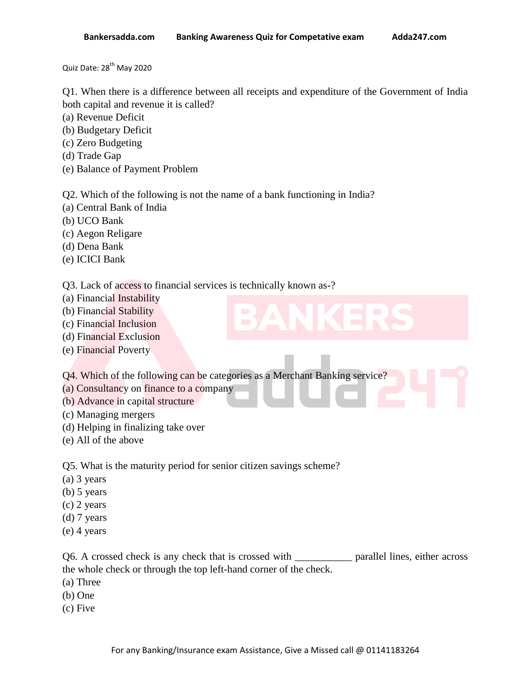Quiz Date: 28<sup>th</sup> May 2020

Q1. When there is a difference between all receipts and expenditure of the Government of India both capital and revenue it is called?

- (a) Revenue Deficit
- (b) Budgetary Deficit
- (c) Zero Budgeting
- (d) Trade Gap
- (e) Balance of Payment Problem

Q2. Which of the following is not the name of a bank functioning in India?

- (a) Central Bank of India
- (b) UCO Bank
- (c) Aegon Religare
- (d) Dena Bank
- (e) ICICI Bank

Q3. Lack of access to financial services is technically known as-?

- (a) Financial Instability
- (b) Financial Stability
- (c) Financial Inclusion
- (d) Financial Exclusion
- (e) Financial Poverty

Q4. Which of the following can be categories as a Merchant Banking service?

- (a) Consultancy on finance to a company
- (b) Advance in capital structure
- (c) Managing mergers
- (d) Helping in finalizing take over
- (e) All of the above

Q5. What is the maturity period for senior citizen savings scheme?

- (a) 3 years
- (b) 5 years
- (c) 2 years
- (d) 7 years
- (e) 4 years

Q6. A crossed check is any check that is crossed with \_\_\_\_\_\_\_\_\_\_\_ parallel lines, either across the whole check or through the top left-hand corner of the check.

- (a) Three
- (b) One
- (c) Five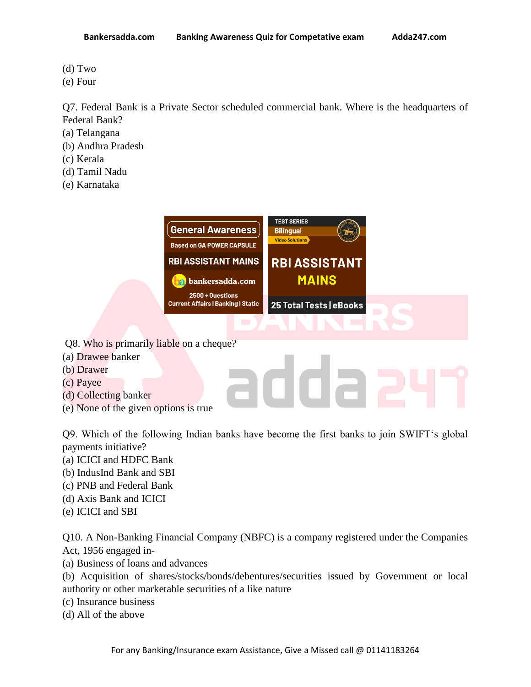- (d) Two
- (e) Four

Q7. Federal Bank is a Private Sector scheduled commercial bank. Where is the headquarters of Federal Bank?

- (a) Telangana
- (b) Andhra Pradesh
- (c) Kerala
- (d) Tamil Nadu
- (e) Karnataka



adda

- Q8. Who is primarily liable on a cheque?
- (a) Drawee banker
- (b) Drawer
- (c) Payee
- (d) Collecting banker
- (e) None of the given options is true

Q9. Which of the following Indian banks have become the first banks to join SWIFT's global payments initiative?

- (a) ICICI and HDFC Bank
- (b) IndusInd Bank and SBI
- (c) PNB and Federal Bank
- (d) Axis Bank and ICICI
- (e) ICICI and SBI

Q10. A Non-Banking Financial Company (NBFC) is a company registered under the Companies Act, 1956 engaged in-

(a) Business of loans and advances

(b) Acquisition of shares/stocks/bonds/debentures/securities issued by Government or local authority or other marketable securities of a like nature

(c) Insurance business

(d) All of the above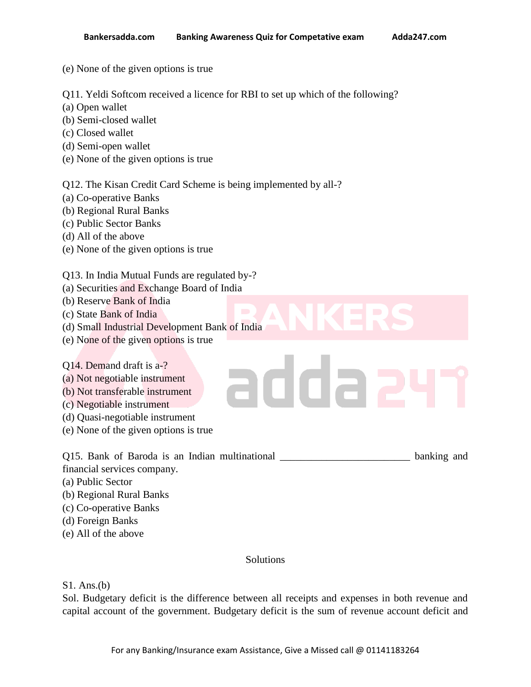- (e) None of the given options is true
- Q11. Yeldi Softcom received a licence for RBI to set up which of the following?
- (a) Open wallet
- (b) Semi-closed wallet
- (c) Closed wallet
- (d) Semi-open wallet
- (e) None of the given options is true

Q12. The Kisan Credit Card Scheme is being implemented by all-?

- (a) Co-operative Banks
- (b) Regional Rural Banks
- (c) Public Sector Banks
- (d) All of the above
- (e) None of the given options is true

## Q13. In India Mutual Funds are regulated by-?

- (a) Securities and Exchange Board of India
- (b) Reserve Bank of India
- (c) State Bank of India
- (d) Small Industrial Development Bank of India
- (e) None of the given options is true

## Q14. Demand draft is a-?

- (a) Not negotiable instrument
- (b) Not transferable instrument
- (c) Negotiable instrument
- (d) Quasi-negotiable instrument
- (e) None of the given options is true

Q15. Bank of Baroda is an Indian multinational banking and

addaa

- financial services company.
- (a) Public Sector
- (b) Regional Rural Banks
- (c) Co-operative Banks
- (d) Foreign Banks
- (e) All of the above

## **Solutions**

## S1. Ans.(b)

Sol. Budgetary deficit is the difference between all receipts and expenses in both revenue and capital account of the government. Budgetary deficit is the sum of revenue account deficit and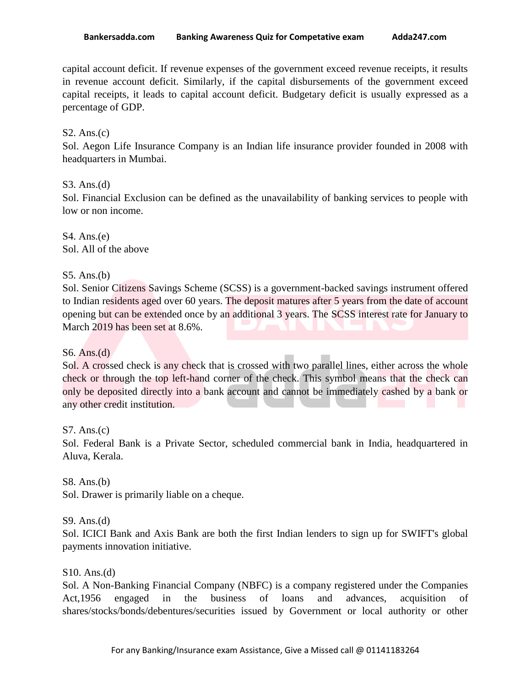capital account deficit. If revenue expenses of the government exceed revenue receipts, it results in revenue account deficit. Similarly, if the capital disbursements of the government exceed capital receipts, it leads to capital account deficit. Budgetary deficit is usually expressed as a percentage of GDP.

### S2. Ans. $(c)$

Sol. Aegon Life Insurance Company is an Indian life insurance provider founded in 2008 with headquarters in Mumbai.

### S3. Ans.(d)

Sol. Financial Exclusion can be defined as the unavailability of banking services to people with low or non income.

S4. Ans.(e) Sol. All of the above

### S5. Ans.(b)

Sol. Senior Citizens Savings Scheme (SCSS) is a government-backed savings instrument offered to Indian residents aged over 60 years. The deposit matures after 5 years from the date of account opening but can be extended once by an additional 3 years. The SCSS interest rate for January to March 2019 has been set at 8.6%.

## S6. Ans.(d)

Sol. A crossed check is any check that is crossed with two parallel lines, either across the whole check or through the top left-hand corner of the check. This symbol means that the check can only be deposited directly into a bank account and cannot be immediately cashed by a bank or any other credit institution.

### S7. Ans.(c)

Sol. Federal Bank is a Private Sector, scheduled commercial bank in India, headquartered in Aluva, Kerala.

#### S8. Ans.(b)

Sol. Drawer is primarily liable on a cheque.

### S9. Ans.(d)

Sol. ICICI Bank and Axis Bank are both the first Indian lenders to sign up for SWIFT's global payments innovation initiative.

#### S10. Ans.(d)

Sol. A Non-Banking Financial Company (NBFC) is a company registered under the Companies Act,1956 engaged in the business of loans and advances, acquisition of shares/stocks/bonds/debentures/securities issued by Government or local authority or other